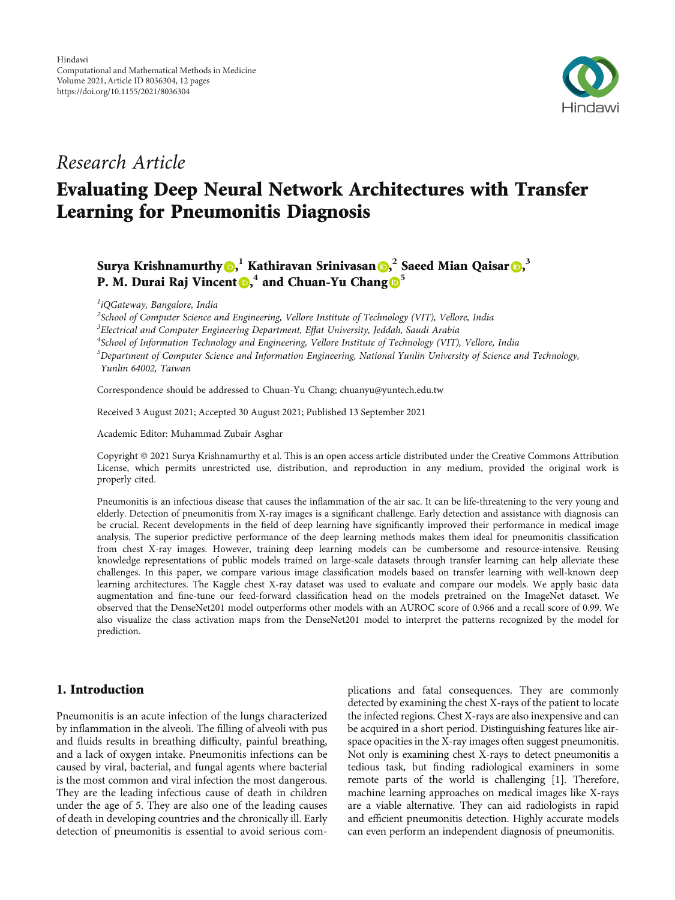

# *Research Article*

# Evaluating Deep Neural Network Architectures with Transfer Learning for Pneumonitis Diagnosis

Surya Krishnamurthy , **<sup>1</sup>** Kathiravan Srinivasan [,](https://orcid.org/0000-0002-9352-0237) **2** Saeed Mian Qaisar , **3 P. M. Durai Raj Vincent (b), 4** and Chuan-Yu Chang  $\mathbb{D}^5$  $\mathbb{D}^5$ 

*1 iQGateway, Bangalore, India*

 *School of Computer Science and Engineering, Vellore Institute of Technology (VIT), Vellore, India Electrical and Computer Engineering Department, E*ff*at University, Jeddah, Saudi Arabia School of Information Technology and Engineering, Vellore Institute of Technology (VIT), Vellore, India Department of Computer Science and Information Engineering, National Yunlin University of Science and Technology, Yunlin 64002, Taiwan*

Correspondence should be addressed to Chuan-Yu Chang; chuanyu@yuntech.edu.tw

Received 3 August 2021; Accepted 30 August 2021; Published 13 September 2021

Academic Editor: Muhammad Zubair Asghar

Copyright © 2021 Surya Krishnamurthy et al. This is an open access article distributed under the [Creative Commons Attribution](https://creativecommons.org/licenses/by/4.0/) [License,](https://creativecommons.org/licenses/by/4.0/) which permits unrestricted use, distribution, and reproduction in any medium, provided the original work is properly cited.

Pneumonitis is an infectious disease that causes the inflammation of the air sac. It can be life-threatening to the very young and elderly. Detection of pneumonitis from X-ray images is a significant challenge. Early detection and assistance with diagnosis can be crucial. Recent developments in the field of deep learning have significantly improved their performance in medical image analysis. The superior predictive performance of the deep learning methods makes them ideal for pneumonitis classification from chest X-ray images. However, training deep learning models can be cumbersome and resource-intensive. Reusing knowledge representations of public models trained on large-scale datasets through transfer learning can help alleviate these challenges. In this paper, we compare various image classification models based on transfer learning with well-known deep learning architectures. The Kaggle chest X-ray dataset was used to evaluate and compare our models. We apply basic data augmentation and fine-tune our feed-forward classification head on the models pretrained on the ImageNet dataset. We observed that the DenseNet201 model outperforms other models with an AUROC score of 0.966 and a recall score of 0.99. We also visualize the class activation maps from the DenseNet201 model to interpret the patterns recognized by the model for prediction.

# 1. Introduction

Pneumonitis is an acute infection of the lungs characterized by inflammation in the alveoli. The filling of alveoli with pus and fluids results in breathing difficulty, painful breathing, and a lack of oxygen intake. Pneumonitis infections can be caused by viral, bacterial, and fungal agents where bacterial is the most common and viral infection the most dangerous. They are the leading infectious cause of death in children under the age of 5. They are also one of the leading causes of death in developing countries and the chronically ill. Early detection of pneumonitis is essential to avoid serious complications and fatal consequences. They are commonly detected by examining the chest X-rays of the patient to locate the infected regions. Chest X-rays are also inexpensive and can be acquired in a short period. Distinguishing features like airspace opacities in the X-ray images often suggest pneumonitis. Not only is examining chest X-rays to detect pneumonitis a tedious task, but finding radiological examiners in some remote parts of the world is challenging [\[1](#page-10-0)]. Therefore, machine learning approaches on medical images like X-rays are a viable alternative. They can aid radiologists in rapid and efficient pneumonitis detection. Highly accurate models can even perform an independent diagnosis of pneumonitis.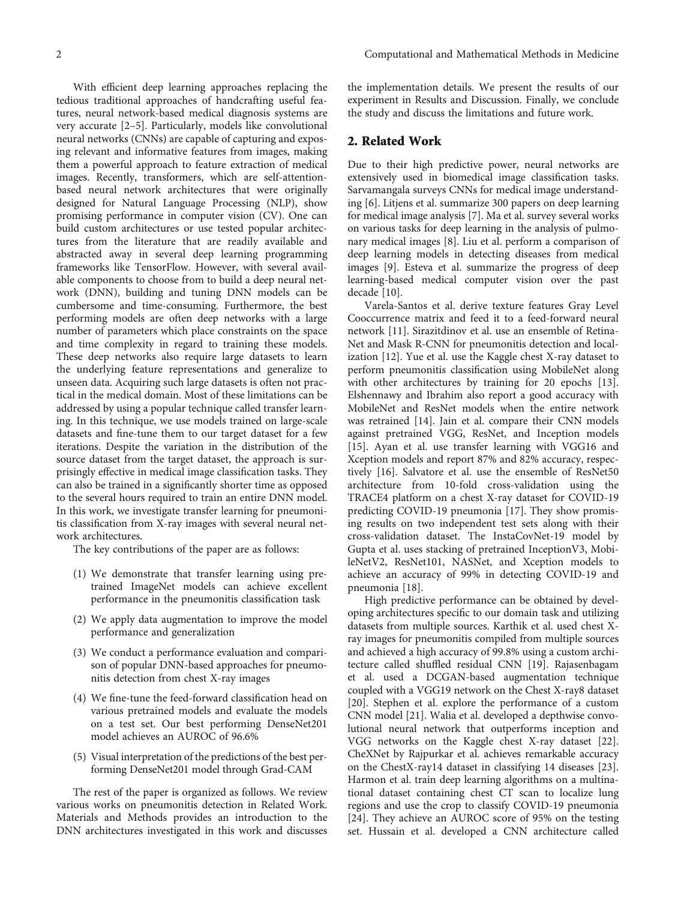With efficient deep learning approaches replacing the tedious traditional approaches of handcrafting useful features, neural network-based medical diagnosis systems are very accurate [[2](#page-10-0)–[5](#page-10-0)]. Particularly, models like convolutional neural networks (CNNs) are capable of capturing and exposing relevant and informative features from images, making them a powerful approach to feature extraction of medical images. Recently, transformers, which are self-attentionbased neural network architectures that were originally designed for Natural Language Processing (NLP), show promising performance in computer vision (CV). One can build custom architectures or use tested popular architectures from the literature that are readily available and abstracted away in several deep learning programming frameworks like TensorFlow. However, with several available components to choose from to build a deep neural network (DNN), building and tuning DNN models can be cumbersome and time-consuming. Furthermore, the best performing models are often deep networks with a large number of parameters which place constraints on the space and time complexity in regard to training these models. These deep networks also require large datasets to learn the underlying feature representations and generalize to unseen data. Acquiring such large datasets is often not practical in the medical domain. Most of these limitations can be addressed by using a popular technique called transfer learning. In this technique, we use models trained on large-scale datasets and fine-tune them to our target dataset for a few iterations. Despite the variation in the distribution of the source dataset from the target dataset, the approach is surprisingly effective in medical image classification tasks. They can also be trained in a significantly shorter time as opposed to the several hours required to train an entire DNN model. In this work, we investigate transfer learning for pneumonitis classification from X-ray images with several neural network architectures.

The key contributions of the paper are as follows:

- (1) We demonstrate that transfer learning using pretrained ImageNet models can achieve excellent performance in the pneumonitis classification task
- (2) We apply data augmentation to improve the model performance and generalization
- (3) We conduct a performance evaluation and comparison of popular DNN-based approaches for pneumonitis detection from chest X-ray images
- (4) We fine-tune the feed-forward classification head on various pretrained models and evaluate the models on a test set. Our best performing DenseNet201 model achieves an AUROC of 96.6%
- (5) Visual interpretation of the predictions of the best performing DenseNet201 model through Grad-CAM

The rest of the paper is organized as follows. We review various works on pneumonitis detection in Related Work. Materials and Methods provides an introduction to the DNN architectures investigated in this work and discusses

the implementation details. We present the results of our experiment in Results and Discussion. Finally, we conclude the study and discuss the limitations and future work.

## 2. Related Work

Due to their high predictive power, neural networks are extensively used in biomedical image classification tasks. Sarvamangala surveys CNNs for medical image understanding [[6](#page-10-0)]. Litjens et al. summarize 300 papers on deep learning for medical image analysis [\[7](#page-10-0)]. Ma et al. survey several works on various tasks for deep learning in the analysis of pulmonary medical images [[8\]](#page-10-0). Liu et al. perform a comparison of deep learning models in detecting diseases from medical images [[9](#page-10-0)]. Esteva et al. summarize the progress of deep learning-based medical computer vision over the past decade [[10](#page-10-0)].

Varela-Santos et al. derive texture features Gray Level Cooccurrence matrix and feed it to a feed-forward neural network [\[11](#page-10-0)]. Sirazitdinov et al. use an ensemble of Retina-Net and Mask R-CNN for pneumonitis detection and localization [[12](#page-10-0)]. Yue et al. use the Kaggle chest X-ray dataset to perform pneumonitis classification using MobileNet along with other architectures by training for 20 epochs [[13](#page-10-0)]. Elshennawy and Ibrahim also report a good accuracy with MobileNet and ResNet models when the entire network was retrained [[14](#page-10-0)]. Jain et al. compare their CNN models against pretrained VGG, ResNet, and Inception models [\[15\]](#page-10-0). Ayan et al. use transfer learning with VGG16 and Xception models and report 87% and 82% accuracy, respectively [\[16\]](#page-10-0). Salvatore et al. use the ensemble of ResNet50 architecture from 10-fold cross-validation using the TRACE4 platform on a chest X-ray dataset for COVID-19 predicting COVID-19 pneumonia [[17](#page-10-0)]. They show promising results on two independent test sets along with their cross-validation dataset. The InstaCovNet-19 model by Gupta et al. uses stacking of pretrained InceptionV3, MobileNetV2, ResNet101, NASNet, and Xception models to achieve an accuracy of 99% in detecting COVID-19 and pneumonia [[18\]](#page-10-0).

High predictive performance can be obtained by developing architectures specific to our domain task and utilizing datasets from multiple sources. Karthik et al. used chest Xray images for pneumonitis compiled from multiple sources and achieved a high accuracy of 99.8% using a custom architecture called shuffled residual CNN [[19](#page-10-0)]. Rajasenbagam et al. used a DCGAN-based augmentation technique coupled with a VGG19 network on the Chest X-ray8 dataset [\[20\]](#page-10-0). Stephen et al. explore the performance of a custom CNN model [\[21\]](#page-10-0). Walia et al. developed a depthwise convolutional neural network that outperforms inception and VGG networks on the Kaggle chest X-ray dataset [[22](#page-10-0)]. CheXNet by Rajpurkar et al. achieves remarkable accuracy on the ChestX-ray14 dataset in classifying 14 diseases [[23](#page-10-0)]. Harmon et al. train deep learning algorithms on a multinational dataset containing chest CT scan to localize lung regions and use the crop to classify COVID-19 pneumonia [\[24\]](#page-10-0). They achieve an AUROC score of 95% on the testing set. Hussain et al. developed a CNN architecture called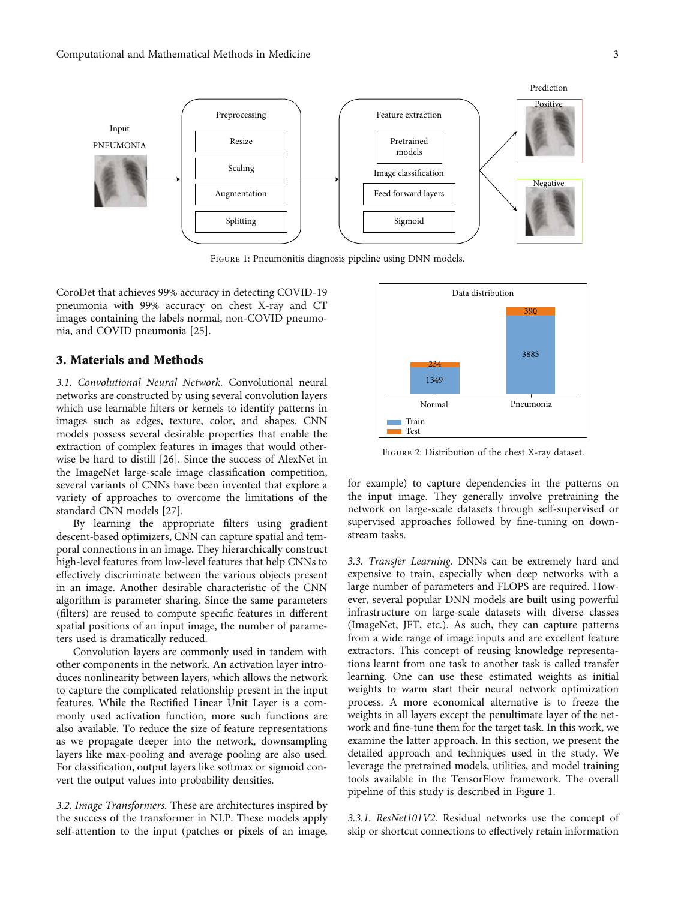<span id="page-2-0"></span>

Figure 1: Pneumonitis diagnosis pipeline using DNN models.

CoroDet that achieves 99% accuracy in detecting COVID-19 pneumonia with 99% accuracy on chest X-ray and CT images containing the labels normal, non-COVID pneumonia, and COVID pneumonia [\[25\]](#page-11-0).

#### 3. Materials and Methods

*3.1. Convolutional Neural Network.* Convolutional neural networks are constructed by using several convolution layers which use learnable filters or kernels to identify patterns in images such as edges, texture, color, and shapes. CNN models possess several desirable properties that enable the extraction of complex features in images that would otherwise be hard to distill [[26\]](#page-11-0). Since the success of AlexNet in the ImageNet large-scale image classification competition, several variants of CNNs have been invented that explore a variety of approaches to overcome the limitations of the standard CNN models [\[27](#page-11-0)].

By learning the appropriate filters using gradient descent-based optimizers, CNN can capture spatial and temporal connections in an image. They hierarchically construct high-level features from low-level features that help CNNs to effectively discriminate between the various objects present in an image. Another desirable characteristic of the CNN algorithm is parameter sharing. Since the same parameters (filters) are reused to compute specific features in different spatial positions of an input image, the number of parameters used is dramatically reduced.

Convolution layers are commonly used in tandem with other components in the network. An activation layer introduces nonlinearity between layers, which allows the network to capture the complicated relationship present in the input features. While the Rectified Linear Unit Layer is a commonly used activation function, more such functions are also available. To reduce the size of feature representations as we propagate deeper into the network, downsampling layers like max-pooling and average pooling are also used. For classification, output layers like softmax or sigmoid convert the output values into probability densities.

*3.2. Image Transformers.* These are architectures inspired by the success of the transformer in NLP. These models apply self-attention to the input (patches or pixels of an image,



Figure 2: Distribution of the chest X-ray dataset.

for example) to capture dependencies in the patterns on the input image. They generally involve pretraining the network on large-scale datasets through self-supervised or supervised approaches followed by fine-tuning on downstream tasks.

*3.3. Transfer Learning.* DNNs can be extremely hard and expensive to train, especially when deep networks with a large number of parameters and FLOPS are required. However, several popular DNN models are built using powerful infrastructure on large-scale datasets with diverse classes (ImageNet, JFT, etc.). As such, they can capture patterns from a wide range of image inputs and are excellent feature extractors. This concept of reusing knowledge representations learnt from one task to another task is called transfer learning. One can use these estimated weights as initial weights to warm start their neural network optimization process. A more economical alternative is to freeze the weights in all layers except the penultimate layer of the network and fine-tune them for the target task. In this work, we examine the latter approach. In this section, we present the detailed approach and techniques used in the study. We leverage the pretrained models, utilities, and model training tools available in the TensorFlow framework. The overall pipeline of this study is described in Figure 1.

*3.3.1. ResNet101V2.* Residual networks use the concept of skip or shortcut connections to effectively retain information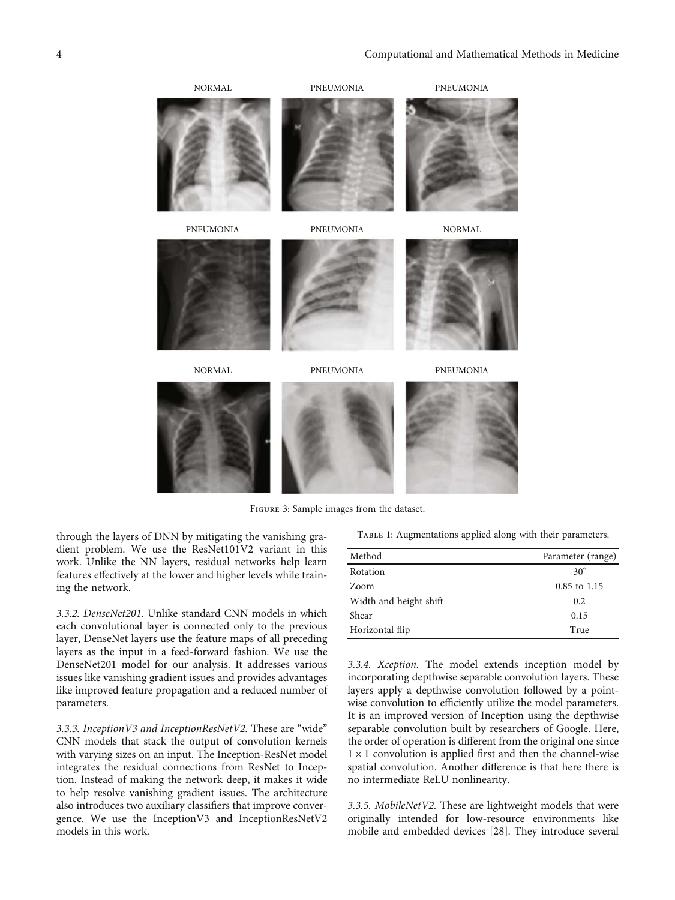<span id="page-3-0"></span>

Figure 3: Sample images from the dataset.

through the layers of DNN by mitigating the vanishing gradient problem. We use the ResNet101V2 variant in this work. Unlike the NN layers, residual networks help learn features effectively at the lower and higher levels while training the network.

*3.3.2. DenseNet201.* Unlike standard CNN models in which each convolutional layer is connected only to the previous layer, DenseNet layers use the feature maps of all preceding layers as the input in a feed-forward fashion. We use the DenseNet201 model for our analysis. It addresses various issues like vanishing gradient issues and provides advantages like improved feature propagation and a reduced number of parameters.

*3.3.3. InceptionV3 and InceptionResNetV2.* These are "wide" CNN models that stack the output of convolution kernels with varying sizes on an input. The Inception-ResNet model integrates the residual connections from ResNet to Inception. Instead of making the network deep, it makes it wide to help resolve vanishing gradient issues. The architecture also introduces two auxiliary classifiers that improve convergence. We use the InceptionV3 and InceptionResNetV2 models in this work.

TABLE 1: Augmentations applied along with their parameters.

| Method                 | Parameter (range) |
|------------------------|-------------------|
| Rotation               | $30^\circ$        |
| Zoom                   | 0.85 to 1.15      |
| Width and height shift | 0.2               |
| Shear                  | 0.15              |
| Horizontal flip        | True              |

*3.3.4. Xception.* The model extends inception model by incorporating depthwise separable convolution layers. These layers apply a depthwise convolution followed by a pointwise convolution to efficiently utilize the model parameters. It is an improved version of Inception using the depthwise separable convolution built by researchers of Google. Here, the order of operation is different from the original one since  $1 \times 1$  convolution is applied first and then the channel-wise spatial convolution. Another difference is that here there is no intermediate ReLU nonlinearity.

*3.3.5. MobileNetV2.* These are lightweight models that were originally intended for low-resource environments like mobile and embedded devices [[28](#page-11-0)]. They introduce several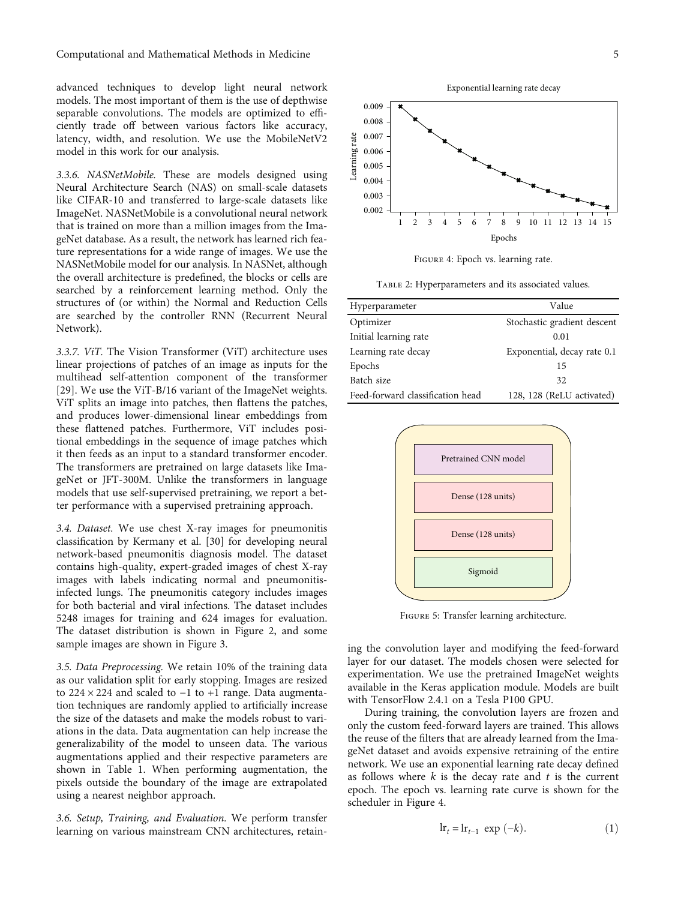<span id="page-4-0"></span>advanced techniques to develop light neural network models. The most important of them is the use of depthwise separable convolutions. The models are optimized to efficiently trade off between various factors like accuracy, latency, width, and resolution. We use the MobileNetV2 model in this work for our analysis.

*3.3.6. NASNetMobile.* These are models designed using Neural Architecture Search (NAS) on small-scale datasets like CIFAR-10 and transferred to large-scale datasets like ImageNet. NASNetMobile is a convolutional neural network that is trained on more than a million images from the ImageNet database. As a result, the network has learned rich feature representations for a wide range of images. We use the NASNetMobile model for our analysis. In NASNet, although the overall architecture is predefined, the blocks or cells are searched by a reinforcement learning method. Only the structures of (or within) the Normal and Reduction Cells are searched by the controller RNN (Recurrent Neural Network).

*3.3.7. ViT.* The Vision Transformer (ViT) architecture uses linear projections of patches of an image as inputs for the multihead self-attention component of the transformer [\[29](#page-11-0)]. We use the ViT-B/16 variant of the ImageNet weights. ViT splits an image into patches, then flattens the patches, and produces lower-dimensional linear embeddings from these flattened patches. Furthermore, ViT includes positional embeddings in the sequence of image patches which it then feeds as an input to a standard transformer encoder. The transformers are pretrained on large datasets like ImageNet or JFT-300M. Unlike the transformers in language models that use self-supervised pretraining, we report a better performance with a supervised pretraining approach.

*3.4. Dataset.* We use chest X-ray images for pneumonitis classification by Kermany et al. [\[30\]](#page-11-0) for developing neural network-based pneumonitis diagnosis model. The dataset contains high-quality, expert-graded images of chest X-ray images with labels indicating normal and pneumonitisinfected lungs. The pneumonitis category includes images for both bacterial and viral infections. The dataset includes 5248 images for training and 624 images for evaluation. The dataset distribution is shown in Figure [2,](#page-2-0) and some sample images are shown in Figure [3](#page-3-0).

*3.5. Data Preprocessing.* We retain 10% of the training data as our validation split for early stopping. Images are resized to 224 × 224 and scaled to −1 to +1 range. Data augmentation techniques are randomly applied to artificially increase the size of the datasets and make the models robust to variations in the data. Data augmentation can help increase the generalizability of the model to unseen data. The various augmentations applied and their respective parameters are shown in Table [1](#page-3-0). When performing augmentation, the pixels outside the boundary of the image are extrapolated using a nearest neighbor approach.

*3.6. Setup, Training, and Evaluation.* We perform transfer learning on various mainstream CNN architectures, retain-



Figure 4: Epoch vs. learning rate.

Table 2: Hyperparameters and its associated values.

| Hyperparameter                   | Value                       |
|----------------------------------|-----------------------------|
| Optimizer                        | Stochastic gradient descent |
| Initial learning rate            | 0.01                        |
| Learning rate decay              | Exponential, decay rate 0.1 |
| Epochs                           | 15                          |
| Batch size                       | 32                          |
| Feed-forward classification head | 128, 128 (ReLU activated)   |



Figure 5: Transfer learning architecture.

ing the convolution layer and modifying the feed-forward layer for our dataset. The models chosen were selected for experimentation. We use the pretrained ImageNet weights available in the Keras application module. Models are built with TensorFlow 2.4.1 on a Tesla P100 GPU.

During training, the convolution layers are frozen and only the custom feed-forward layers are trained. This allows the reuse of the filters that are already learned from the ImageNet dataset and avoids expensive retraining of the entire network. We use an exponential learning rate decay defined as follows where *k* is the decay rate and *t* is the current epoch. The epoch vs. learning rate curve is shown for the scheduler in Figure 4.

$$
\ln_{t} = \ln_{t-1} \exp(-k). \tag{1}
$$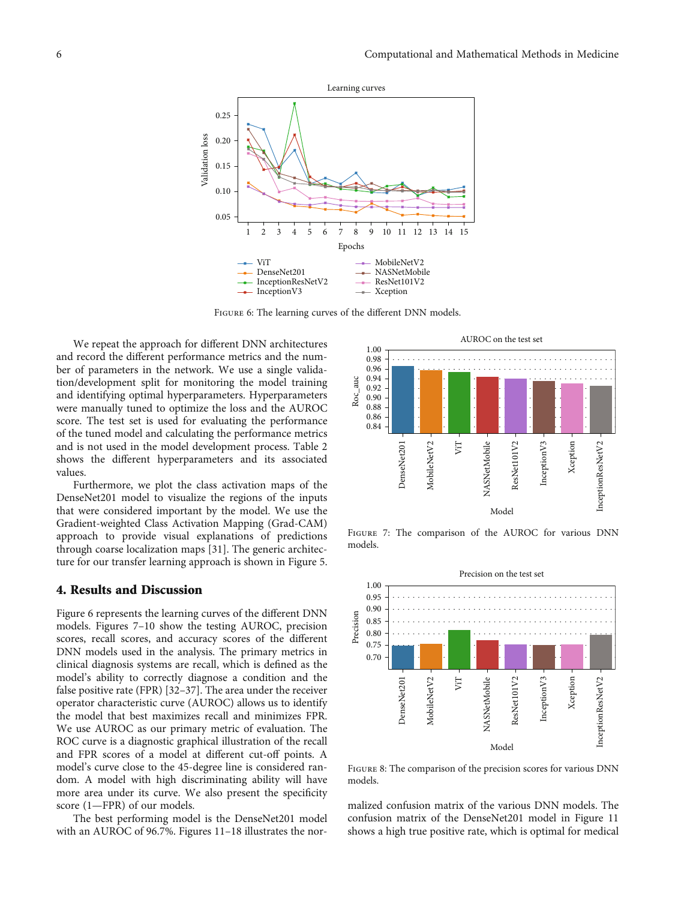<span id="page-5-0"></span>

Figure 6: The learning curves of the different DNN models.

We repeat the approach for different DNN architectures and record the different performance metrics and the number of parameters in the network. We use a single validation/development split for monitoring the model training and identifying optimal hyperparameters. Hyperparameters were manually tuned to optimize the loss and the AUROC score. The test set is used for evaluating the performance of the tuned model and calculating the performance metrics and is not used in the model development process. Table [2](#page-4-0) shows the different hyperparameters and its associated values.

Furthermore, we plot the class activation maps of the DenseNet201 model to visualize the regions of the inputs that were considered important by the model. We use the Gradient-weighted Class Activation Mapping (Grad-CAM) approach to provide visual explanations of predictions through coarse localization maps [\[31\]](#page-11-0). The generic architecture for our transfer learning approach is shown in Figure [5.](#page-4-0)

#### 4. Results and Discussion

Figure 6 represents the learning curves of the different DNN models. Figures 7–[10](#page-6-0) show the testing AUROC, precision scores, recall scores, and accuracy scores of the different DNN models used in the analysis. The primary metrics in clinical diagnosis systems are recall, which is defined as the model's ability to correctly diagnose a condition and the false positive rate (FPR) [\[32](#page-11-0)–[37](#page-11-0)]. The area under the receiver operator characteristic curve (AUROC) allows us to identify the model that best maximizes recall and minimizes FPR. We use AUROC as our primary metric of evaluation. The ROC curve is a diagnostic graphical illustration of the recall and FPR scores of a model at different cut-off points. A model's curve close to the 45-degree line is considered random. A model with high discriminating ability will have more area under its curve. We also present the specificity score (1—FPR) of our models.

The best performing model is the DenseNet201 model with an AUROC of 96.7%. Figures [11](#page-6-0)–[18](#page-7-0) illustrates the nor-



Figure 7: The comparison of the AUROC for various DNN models.



Figure 8: The comparison of the precision scores for various DNN models.

malized confusion matrix of the various DNN models. The confusion matrix of the DenseNet201 model in Figure [11](#page-6-0) shows a high true positive rate, which is optimal for medical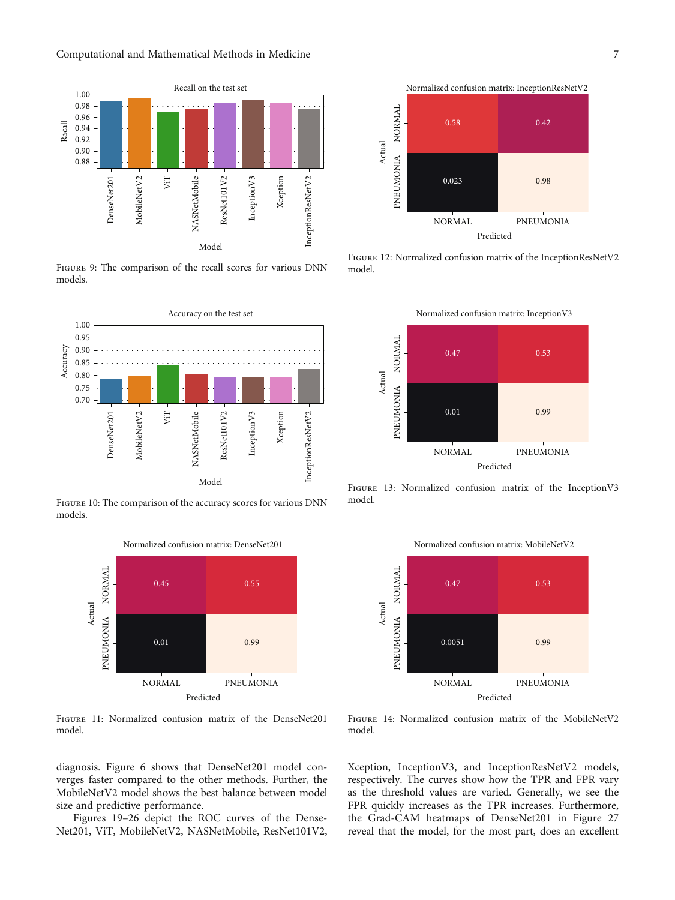<span id="page-6-0"></span>

FIGURE 9: The comparison of the recall scores for various DNN models.



Figure 10: The comparison of the accuracy scores for various DNN models.



Figure 11: Normalized confusion matrix of the DenseNet201 model.

diagnosis. Figure [6](#page-5-0) shows that DenseNet201 model converges faster compared to the other methods. Further, the MobileNetV2 model shows the best balance between model size and predictive performance.

Figures [19](#page-7-0)–[26](#page-8-0) depict the ROC curves of the Dense-Net201, ViT, MobileNetV2, NASNetMobile, ResNet101V2,



Figure 12: Normalized confusion matrix of the InceptionResNetV2 model.



Figure 13: Normalized confusion matrix of the InceptionV3 model.



Figure 14: Normalized confusion matrix of the MobileNetV2 model.

Xception, InceptionV3, and InceptionResNetV2 models, respectively. The curves show how the TPR and FPR vary as the threshold values are varied. Generally, we see the FPR quickly increases as the TPR increases. Furthermore, the Grad-CAM heatmaps of DenseNet201 in Figure [27](#page-9-0) reveal that the model, for the most part, does an excellent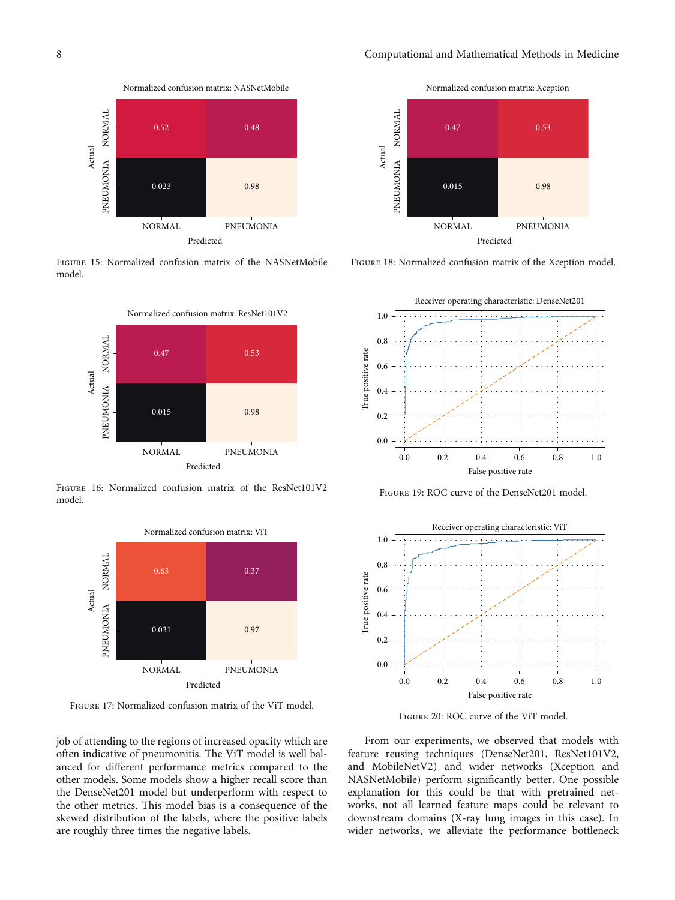<span id="page-7-0"></span>

Figure 15: Normalized confusion matrix of the NASNetMobile model.



Figure 16: Normalized confusion matrix of the ResNet101V2 model.



Figure 17: Normalized confusion matrix of the ViT model.

job of attending to the regions of increased opacity which are often indicative of pneumonitis. The ViT model is well balanced for different performance metrics compared to the other models. Some models show a higher recall score than the DenseNet201 model but underperform with respect to the other metrics. This model bias is a consequence of the skewed distribution of the labels, where the positive labels are roughly three times the negative labels.



Figure 18: Normalized confusion matrix of the Xception model.



Figure 19: ROC curve of the DenseNet201 model.



Figure 20: ROC curve of the ViT model.

From our experiments, we observed that models with feature reusing techniques (DenseNet201, ResNet101V2, and MobileNetV2) and wider networks (Xception and NASNetMobile) perform significantly better. One possible explanation for this could be that with pretrained networks, not all learned feature maps could be relevant to downstream domains (X-ray lung images in this case). In wider networks, we alleviate the performance bottleneck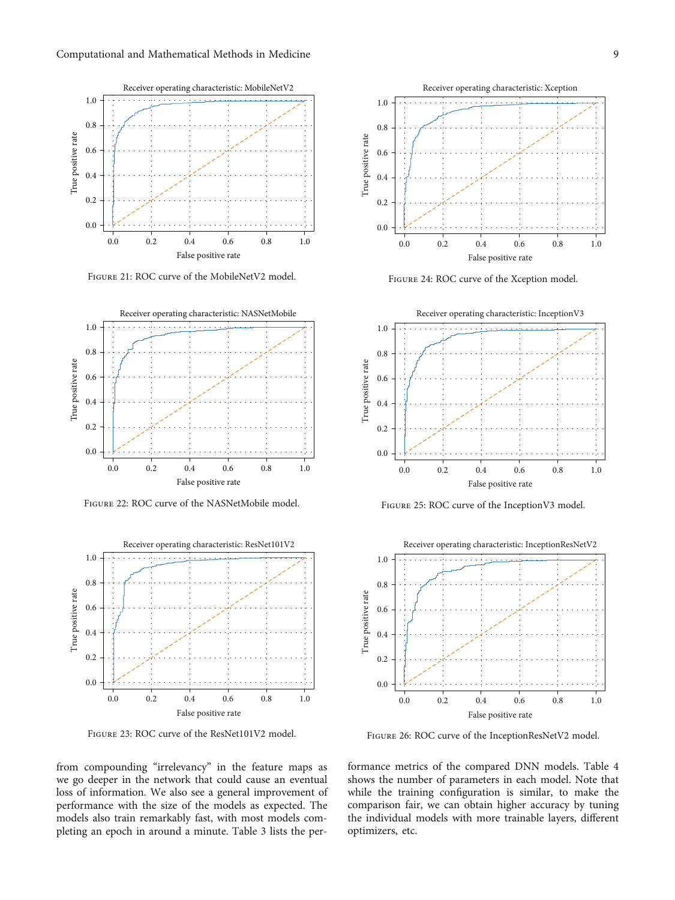<span id="page-8-0"></span>

Figure 21: ROC curve of the MobileNetV2 model.



Figure 22: ROC curve of the NASNetMobile model.



Figure 23: ROC curve of the ResNet101V2 model.

from compounding "irrelevancy" in the feature maps as we go deeper in the network that could cause an eventual loss of information. We also see a general improvement of performance with the size of the models as expected. The models also train remarkably fast, with most models completing an epoch in around a minute. Table [3](#page-9-0) lists the per-



Figure 24: ROC curve of the Xception model.



Figure 25: ROC curve of the InceptionV3 model.



Figure 26: ROC curve of the InceptionResNetV2 model.

formance metrics of the compared DNN models. Table [4](#page-9-0) shows the number of parameters in each model. Note that while the training configuration is similar, to make the comparison fair, we can obtain higher accuracy by tuning the individual models with more trainable layers, different optimizers, etc.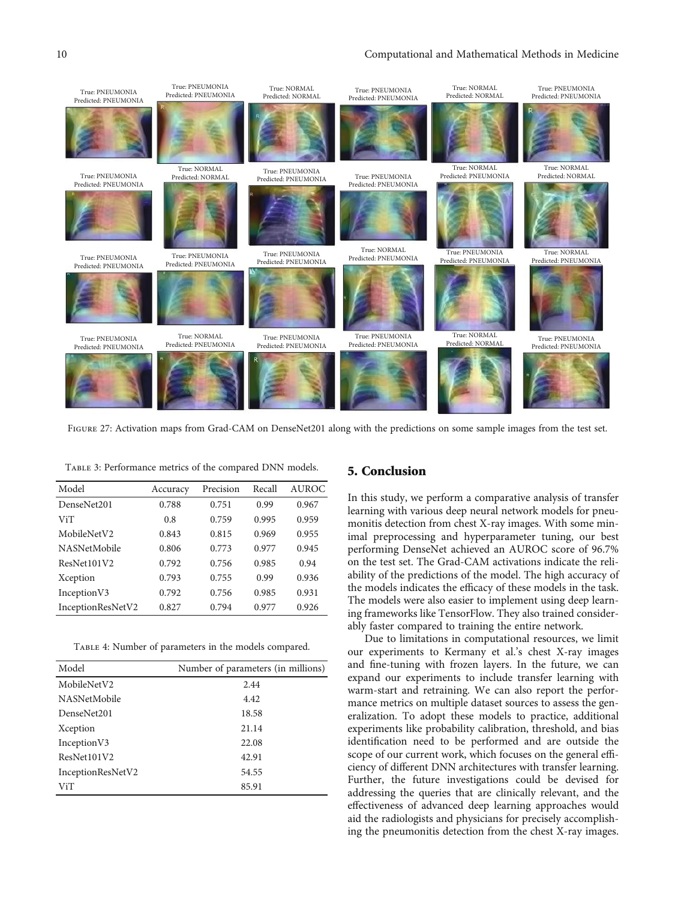<span id="page-9-0"></span>

FIGURE 27: Activation maps from Grad-CAM on DenseNet201 along with the predictions on some sample images from the test set.

Table 3: Performance metrics of the compared DNN models.

| Model               | Accuracy | Precision | Recall | <b>AUROC</b> |
|---------------------|----------|-----------|--------|--------------|
| DenseNet201         | 0.788    | 0.751     | 0.99   | 0.967        |
| ViT                 | 0.8      | 0.759     | 0.995  | 0.959        |
| MobileNetV2         | 0.843    | 0.815     | 0.969  | 0.955        |
| <b>NASNetMobile</b> | 0.806    | 0.773     | 0.977  | 0.945        |
| ResNet101V2         | 0.792    | 0.756     | 0.985  | 0.94         |
| Xception            | 0.793    | 0.755     | 0.99   | 0.936        |
| Inception V3        | 0.792    | 0.756     | 0.985  | 0.931        |
| InceptionResNetV2   | 0.827    | 0.794     | 0.977  | 0.926        |

TABLE 4: Number of parameters in the models compared.

| Model               | Number of parameters (in millions) |
|---------------------|------------------------------------|
| MobileNetV2         | 2.44                               |
| <b>NASNetMobile</b> | 4.42                               |
| DenseNet201         | 18.58                              |
| Xception            | 21.14                              |
| Inception V3        | 22.08                              |
| ResNet101V2         | 42.91                              |
| InceptionResNetV2   | 54.55                              |
| ViT                 | 85.91                              |

#### 5. Conclusion

In this study, we perform a comparative analysis of transfer learning with various deep neural network models for pneumonitis detection from chest X-ray images. With some minimal preprocessing and hyperparameter tuning, our best performing DenseNet achieved an AUROC score of 96.7% on the test set. The Grad-CAM activations indicate the reliability of the predictions of the model. The high accuracy of the models indicates the efficacy of these models in the task. The models were also easier to implement using deep learning frameworks like TensorFlow. They also trained considerably faster compared to training the entire network.

Due to limitations in computational resources, we limit our experiments to Kermany et al.'s chest X-ray images and fine-tuning with frozen layers. In the future, we can expand our experiments to include transfer learning with warm-start and retraining. We can also report the performance metrics on multiple dataset sources to assess the generalization. To adopt these models to practice, additional experiments like probability calibration, threshold, and bias identification need to be performed and are outside the scope of our current work, which focuses on the general efficiency of different DNN architectures with transfer learning. Further, the future investigations could be devised for addressing the queries that are clinically relevant, and the effectiveness of advanced deep learning approaches would aid the radiologists and physicians for precisely accomplishing the pneumonitis detection from the chest X-ray images.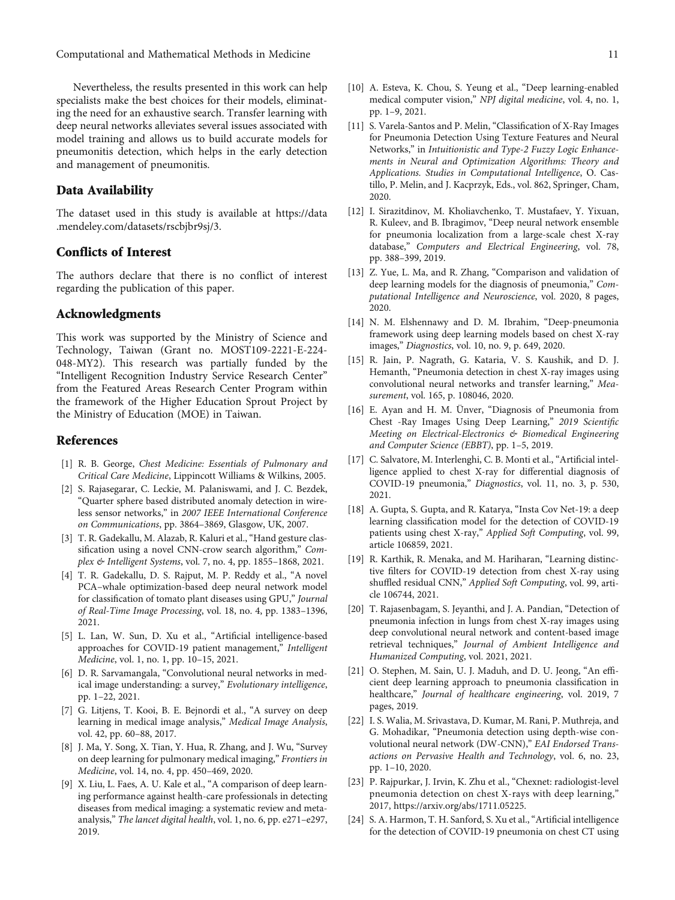<span id="page-10-0"></span>Nevertheless, the results presented in this work can help specialists make the best choices for their models, eliminating the need for an exhaustive search. Transfer learning with deep neural networks alleviates several issues associated with model training and allows us to build accurate models for pneumonitis detection, which helps in the early detection and management of pneumonitis.

#### Data Availability

The dataset used in this study is available at [https://data](https://data.mendeley.com/datasets/rscbjbr9sj/3) [.mendeley.com/datasets/rscbjbr9sj/3.](https://data.mendeley.com/datasets/rscbjbr9sj/3)

### Conflicts of Interest

The authors declare that there is no conflict of interest regarding the publication of this paper.

#### Acknowledgments

This work was supported by the Ministry of Science and Technology, Taiwan (Grant no. MOST109-2221-E-224- 048-MY2). This research was partially funded by the "Intelligent Recognition Industry Service Research Center" from the Featured Areas Research Center Program within the framework of the Higher Education Sprout Project by the Ministry of Education (MOE) in Taiwan.

#### References

- [1] R. B. George, *Chest Medicine: Essentials of Pulmonary and Critical Care Medicine*, Lippincott Williams & Wilkins, 2005.
- [2] S. Rajasegarar, C. Leckie, M. Palaniswami, and J. C. Bezdek, "Quarter sphere based distributed anomaly detection in wireless sensor networks," in *2007 IEEE International Conference on Communications*, pp. 3864–3869, Glasgow, UK, 2007.
- [3] T. R. Gadekallu, M. Alazab, R. Kaluri et al., "Hand gesture classification using a novel CNN-crow search algorithm," *Complex & Intelligent Systems*, vol. 7, no. 4, pp. 1855–1868, 2021.
- [4] T. R. Gadekallu, D. S. Rajput, M. P. Reddy et al., "A novel PCA–whale optimization-based deep neural network model for classification of tomato plant diseases using GPU," *Journal of Real-Time Image Processing*, vol. 18, no. 4, pp. 1383–1396, 2021.
- [5] L. Lan, W. Sun, D. Xu et al., "Artificial intelligence-based approaches for COVID-19 patient management," *Intelligent Medicine*, vol. 1, no. 1, pp. 10–15, 2021.
- [6] D. R. Sarvamangala, "Convolutional neural networks in medical image understanding: a survey," *Evolutionary intelligence*, pp. 1–22, 2021.
- [7] G. Litjens, T. Kooi, B. E. Bejnordi et al., "A survey on deep learning in medical image analysis," *Medical Image Analysis*, vol. 42, pp. 60–88, 2017.
- [8] J. Ma, Y. Song, X. Tian, Y. Hua, R. Zhang, and J. Wu, "Survey on deep learning for pulmonary medical imaging," *Frontiers in Medicine*, vol. 14, no. 4, pp. 450–469, 2020.
- [9] X. Liu, L. Faes, A. U. Kale et al., "A comparison of deep learning performance against health-care professionals in detecting diseases from medical imaging: a systematic review and metaanalysis," *The lancet digital health*, vol. 1, no. 6, pp. e271–e297, 2019.
- [10] A. Esteva, K. Chou, S. Yeung et al., "Deep learning-enabled medical computer vision," *NPJ digital medicine*, vol. 4, no. 1,
- [11] S. Varela-Santos and P. Melin, "Classification of X-Ray Images" for Pneumonia Detection Using Texture Features and Neural Networks," in *Intuitionistic and Type-2 Fuzzy Logic Enhancements in Neural and Optimization Algorithms: Theory and Applications. Studies in Computational Intelligence*, O. Castillo, P. Melin, and J. Kacprzyk, Eds., vol. 862, Springer, Cham, 2020.

pp. 1–9, 2021.

- [12] I. Sirazitdinov, M. Kholiavchenko, T. Mustafaev, Y. Yixuan, R. Kuleev, and B. Ibragimov, "Deep neural network ensemble for pneumonia localization from a large-scale chest X-ray database," *Computers and Electrical Engineering*, vol. 78, pp. 388–399, 2019.
- [13] Z. Yue, L. Ma, and R. Zhang, "Comparison and validation of deep learning models for the diagnosis of pneumonia," *Computational Intelligence and Neuroscience*, vol. 2020, 8 pages, 2020.
- [14] N. M. Elshennawy and D. M. Ibrahim, "Deep-pneumonia framework using deep learning models based on chest X-ray images," *Diagnostics*, vol. 10, no. 9, p. 649, 2020.
- [15] R. Jain, P. Nagrath, G. Kataria, V. S. Kaushik, and D. J. Hemanth, "Pneumonia detection in chest X-ray images using convolutional neural networks and transfer learning," *Measurement*, vol. 165, p. 108046, 2020.
- [16] E. Ayan and H. M. Ünver, "Diagnosis of Pneumonia from Chest -Ray Images Using Deep Learning," *2019 Scienti*fi*c Meeting on Electrical-Electronics & Biomedical Engineering and Computer Science (EBBT)*, pp. 1–5, 2019.
- [17] C. Salvatore, M. Interlenghi, C. B. Monti et al., "Artificial intelligence applied to chest X-ray for differential diagnosis of COVID-19 pneumonia," *Diagnostics*, vol. 11, no. 3, p. 530, 2021.
- [18] A. Gupta, S. Gupta, and R. Katarya, "Insta Cov Net-19: a deep learning classification model for the detection of COVID-19 patients using chest X-ray," *Applied Soft Computing*, vol. 99, article 106859, 2021.
- [19] R. Karthik, R. Menaka, and M. Hariharan, "Learning distinctive filters for COVID-19 detection from chest X-ray using shuffled residual CNN," *Applied Soft Computing*, vol. 99, article 106744, 2021.
- [20] T. Rajasenbagam, S. Jeyanthi, and J. A. Pandian, "Detection of pneumonia infection in lungs from chest X-ray images using deep convolutional neural network and content-based image retrieval techniques," *Journal of Ambient Intelligence and Humanized Computing*, vol. 2021, 2021.
- [21] O. Stephen, M. Sain, U. J. Maduh, and D. U. Jeong, "An efficient deep learning approach to pneumonia classification in healthcare," *Journal of healthcare engineering*, vol. 2019, 7 pages, 2019.
- [22] I. S. Walia, M. Srivastava, D. Kumar, M. Rani, P. Muthreja, and G. Mohadikar, "Pneumonia detection using depth-wise convolutional neural network (DW-CNN)," *EAI Endorsed Transactions on Pervasive Health and Technology*, vol. 6, no. 23, pp. 1–10, 2020.
- [23] P. Rajpurkar, J. Irvin, K. Zhu et al., "Chexnet: radiologist-level pneumonia detection on chest X-rays with deep learning," 2017, [https://arxiv.org/abs/1711.05225.](https://arxiv.org/abs/1711.05225)
- [24] S. A. Harmon, T. H. Sanford, S. Xu et al., "Artificial intelligence for the detection of COVID-19 pneumonia on chest CT using